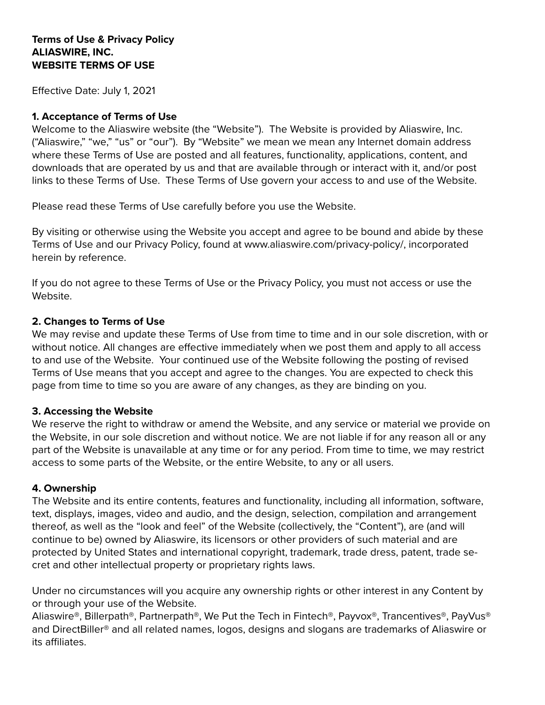### **Terms of Use & Privacy Policy ALIASWIRE, INC. WEBSITE TERMS OF USE**

Effective Date: July 1, 2021

#### **1. Acceptance of Terms of Use**

Welcome to the Aliaswire website (the "Website"). The Website is provided by Aliaswire, Inc. ("Aliaswire," "we," "us" or "our"). By "Website" we mean we mean any Internet domain address where these Terms of Use are posted and all features, functionality, applications, content, and downloads that are operated by us and that are available through or interact with it, and/or post links to these Terms of Use. These Terms of Use govern your access to and use of the Website.

Please read these Terms of Use carefully before you use the Website.

By visiting or otherwise using the Website you accept and agree to be bound and abide by these Terms of Use and our Privacy Policy, found at www.aliaswire.com/privacy-policy/, incorporated herein by reference.

If you do not agree to these Terms of Use or the Privacy Policy, you must not access or use the Website.

### **2. Changes to Terms of Use**

We may revise and update these Terms of Use from time to time and in our sole discretion, with or without notice. All changes are effective immediately when we post them and apply to all access to and use of the Website. Your continued use of the Website following the posting of revised Terms of Use means that you accept and agree to the changes. You are expected to check this page from time to time so you are aware of any changes, as they are binding on you.

### **3. Accessing the Website**

We reserve the right to withdraw or amend the Website, and any service or material we provide on the Website, in our sole discretion and without notice. We are not liable if for any reason all or any part of the Website is unavailable at any time or for any period. From time to time, we may restrict access to some parts of the Website, or the entire Website, to any or all users.

#### **4. Ownership**

The Website and its entire contents, features and functionality, including all information, software, text, displays, images, video and audio, and the design, selection, compilation and arrangement thereof, as well as the "look and feel" of the Website (collectively, the "Content"), are (and will continue to be) owned by Aliaswire, its licensors or other providers of such material and are protected by United States and international copyright, trademark, trade dress, patent, trade secret and other intellectual property or proprietary rights laws.

Under no circumstances will you acquire any ownership rights or other interest in any Content by or through your use of the Website.

Aliaswire®, Billerpath®, Partnerpath®, We Put the Tech in Fintech®, Payvox®, Trancentives®, PayVus® and DirectBiller® and all related names, logos, designs and slogans are trademarks of Aliaswire or its affiliates.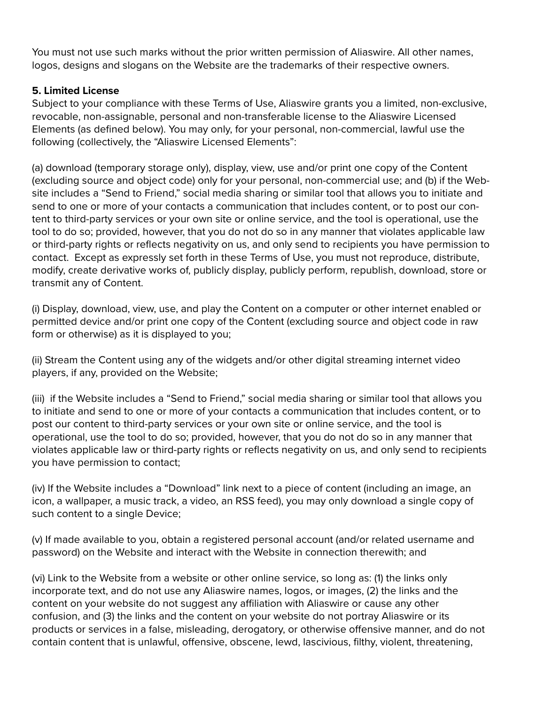You must not use such marks without the prior written permission of Aliaswire. All other names, logos, designs and slogans on the Website are the trademarks of their respective owners.

## **5. Limited License**

Subject to your compliance with these Terms of Use, Aliaswire grants you a limited, non-exclusive, revocable, non-assignable, personal and non-transferable license to the Aliaswire Licensed Elements (as defined below). You may only, for your personal, non-commercial, lawful use the following (collectively, the "Aliaswire Licensed Elements":

(a) download (temporary storage only), display, view, use and/or print one copy of the Content (excluding source and object code) only for your personal, non-commercial use; and (b) if the Website includes a "Send to Friend," social media sharing or similar tool that allows you to initiate and send to one or more of your contacts a communication that includes content, or to post our content to third-party services or your own site or online service, and the tool is operational, use the tool to do so; provided, however, that you do not do so in any manner that violates applicable law or third-party rights or reflects negativity on us, and only send to recipients you have permission to contact. Except as expressly set forth in these Terms of Use, you must not reproduce, distribute, modify, create derivative works of, publicly display, publicly perform, republish, download, store or transmit any of Content.

(i) Display, download, view, use, and play the Content on a computer or other internet enabled or permitted device and/or print one copy of the Content (excluding source and object code in raw form or otherwise) as it is displayed to you;

(ii) Stream the Content using any of the widgets and/or other digital streaming internet video players, if any, provided on the Website;

(iii) if the Website includes a "Send to Friend," social media sharing or similar tool that allows you to initiate and send to one or more of your contacts a communication that includes content, or to post our content to third-party services or your own site or online service, and the tool is operational, use the tool to do so; provided, however, that you do not do so in any manner that violates applicable law or third-party rights or reflects negativity on us, and only send to recipients you have permission to contact;

(iv) If the Website includes a "Download" link next to a piece of content (including an image, an icon, a wallpaper, a music track, a video, an RSS feed), you may only download a single copy of such content to a single Device;

(v) If made available to you, obtain a registered personal account (and/or related username and password) on the Website and interact with the Website in connection therewith; and

(vi) Link to the Website from a website or other online service, so long as: (1) the links only incorporate text, and do not use any Aliaswire names, logos, or images, (2) the links and the content on your website do not suggest any affiliation with Aliaswire or cause any other confusion, and (3) the links and the content on your website do not portray Aliaswire or its products or services in a false, misleading, derogatory, or otherwise offensive manner, and do not contain content that is unlawful, offensive, obscene, lewd, lascivious, filthy, violent, threatening,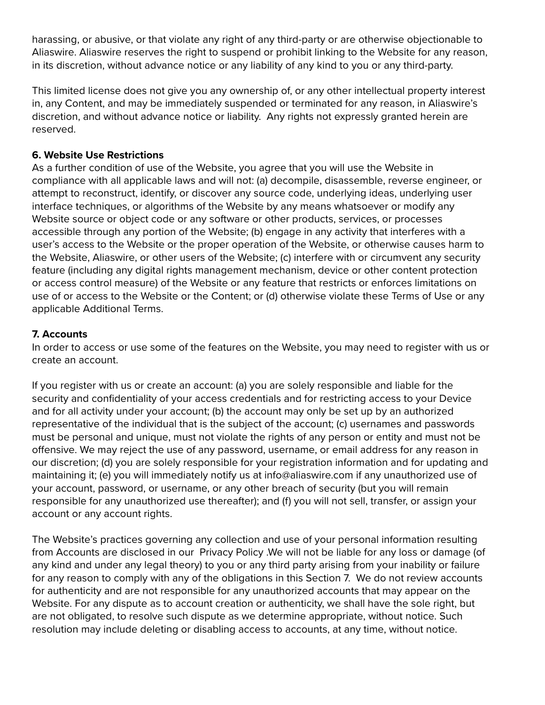harassing, or abusive, or that violate any right of any third-party or are otherwise objectionable to Aliaswire. Aliaswire reserves the right to suspend or prohibit linking to the Website for any reason, in its discretion, without advance notice or any liability of any kind to you or any third-party.

This limited license does not give you any ownership of, or any other intellectual property interest in, any Content, and may be immediately suspended or terminated for any reason, in Aliaswire's discretion, and without advance notice or liability. Any rights not expressly granted herein are reserved.

### **6. Website Use Restrictions**

As a further condition of use of the Website, you agree that you will use the Website in compliance with all applicable laws and will not: (a) decompile, disassemble, reverse engineer, or attempt to reconstruct, identify, or discover any source code, underlying ideas, underlying user interface techniques, or algorithms of the Website by any means whatsoever or modify any Website source or object code or any software or other products, services, or processes accessible through any portion of the Website; (b) engage in any activity that interferes with a user's access to the Website or the proper operation of the Website, or otherwise causes harm to the Website, Aliaswire, or other users of the Website; (c) interfere with or circumvent any security feature (including any digital rights management mechanism, device or other content protection or access control measure) of the Website or any feature that restricts or enforces limitations on use of or access to the Website or the Content; or (d) otherwise violate these Terms of Use or any applicable Additional Terms.

## **7. Accounts**

In order to access or use some of the features on the Website, you may need to register with us or create an account.

If you register with us or create an account: (a) you are solely responsible and liable for the security and confidentiality of your access credentials and for restricting access to your Device and for all activity under your account; (b) the account may only be set up by an authorized representative of the individual that is the subject of the account; (c) usernames and passwords must be personal and unique, must not violate the rights of any person or entity and must not be offensive. We may reject the use of any password, username, or email address for any reason in our discretion; (d) you are solely responsible for your registration information and for updating and maintaining it; (e) you will immediately notify us at info@aliaswire.com if any unauthorized use of your account, password, or username, or any other breach of security (but you will remain responsible for any unauthorized use thereafter); and (f) you will not sell, transfer, or assign your account or any account rights.

The Website's practices governing any collection and use of your personal information resulting from Accounts are disclosed in our Privacy Policy .We will not be liable for any loss or damage (of any kind and under any legal theory) to you or any third party arising from your inability or failure for any reason to comply with any of the obligations in this Section 7. We do not review accounts for authenticity and are not responsible for any unauthorized accounts that may appear on the Website. For any dispute as to account creation or authenticity, we shall have the sole right, but are not obligated, to resolve such dispute as we determine appropriate, without notice. Such resolution may include deleting or disabling access to accounts, at any time, without notice.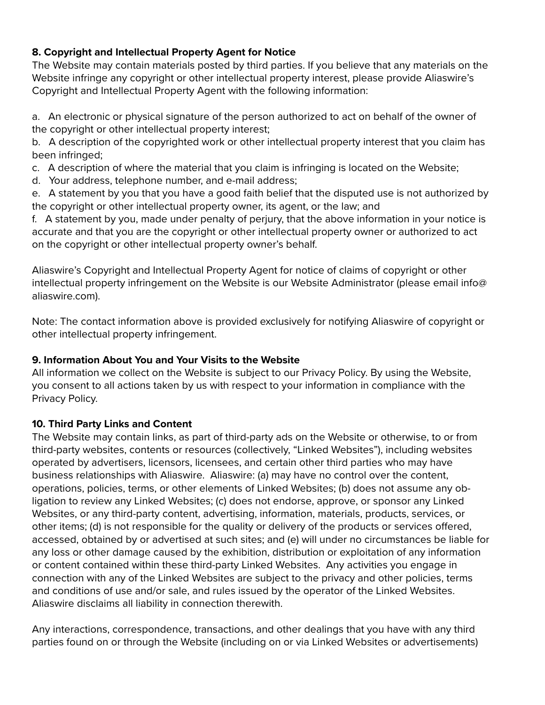## **8. Copyright and Intellectual Property Agent for Notice**

The Website may contain materials posted by third parties. If you believe that any materials on the Website infringe any copyright or other intellectual property interest, please provide Aliaswire's Copyright and Intellectual Property Agent with the following information:

a. An electronic or physical signature of the person authorized to act on behalf of the owner of the copyright or other intellectual property interest;

b. A description of the copyrighted work or other intellectual property interest that you claim has been infringed;

c. A description of where the material that you claim is infringing is located on the Website;

d. Your address, telephone number, and e-mail address;

e. A statement by you that you have a good faith belief that the disputed use is not authorized by the copyright or other intellectual property owner, its agent, or the law; and

f. A statement by you, made under penalty of perjury, that the above information in your notice is accurate and that you are the copyright or other intellectual property owner or authorized to act on the copyright or other intellectual property owner's behalf.

Aliaswire's Copyright and Intellectual Property Agent for notice of claims of copyright or other intellectual property infringement on the Website is our Website Administrator (please email info@ aliaswire.com).

Note: The contact information above is provided exclusively for notifying Aliaswire of copyright or other intellectual property infringement.

# **9. Information About You and Your Visits to the Website**

All information we collect on the Website is subject to our Privacy Policy. By using the Website, you consent to all actions taken by us with respect to your information in compliance with the Privacy Policy.

# **10. Third Party Links and Content**

The Website may contain links, as part of third-party ads on the Website or otherwise, to or from third-party websites, contents or resources (collectively, "Linked Websites"), including websites operated by advertisers, licensors, licensees, and certain other third parties who may have business relationships with Aliaswire. Aliaswire: (a) may have no control over the content, operations, policies, terms, or other elements of Linked Websites; (b) does not assume any obligation to review any Linked Websites; (c) does not endorse, approve, or sponsor any Linked Websites, or any third-party content, advertising, information, materials, products, services, or other items; (d) is not responsible for the quality or delivery of the products or services offered, accessed, obtained by or advertised at such sites; and (e) will under no circumstances be liable for any loss or other damage caused by the exhibition, distribution or exploitation of any information or content contained within these third-party Linked Websites. Any activities you engage in connection with any of the Linked Websites are subject to the privacy and other policies, terms and conditions of use and/or sale, and rules issued by the operator of the Linked Websites. Aliaswire disclaims all liability in connection therewith.

Any interactions, correspondence, transactions, and other dealings that you have with any third parties found on or through the Website (including on or via Linked Websites or advertisements)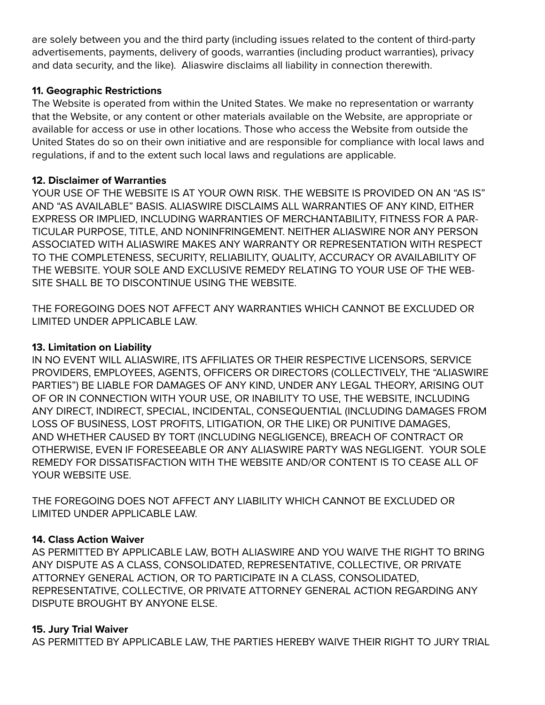are solely between you and the third party (including issues related to the content of third-party advertisements, payments, delivery of goods, warranties (including product warranties), privacy and data security, and the like). Aliaswire disclaims all liability in connection therewith.

### **11. Geographic Restrictions**

The Website is operated from within the United States. We make no representation or warranty that the Website, or any content or other materials available on the Website, are appropriate or available for access or use in other locations. Those who access the Website from outside the United States do so on their own initiative and are responsible for compliance with local laws and regulations, if and to the extent such local laws and regulations are applicable.

## **12. Disclaimer of Warranties**

YOUR USE OF THE WEBSITE IS AT YOUR OWN RISK. THE WEBSITE IS PROVIDED ON AN "AS IS" AND "AS AVAILABLE" BASIS. ALIASWIRE DISCLAIMS ALL WARRANTIES OF ANY KIND, EITHER EXPRESS OR IMPLIED, INCLUDING WARRANTIES OF MERCHANTABILITY, FITNESS FOR A PAR-TICULAR PURPOSE, TITLE, AND NONINFRINGEMENT. NEITHER ALIASWIRE NOR ANY PERSON ASSOCIATED WITH ALIASWIRE MAKES ANY WARRANTY OR REPRESENTATION WITH RESPECT TO THE COMPLETENESS, SECURITY, RELIABILITY, QUALITY, ACCURACY OR AVAILABILITY OF THE WEBSITE. YOUR SOLE AND EXCLUSIVE REMEDY RELATING TO YOUR USE OF THE WEB-SITE SHALL BE TO DISCONTINUE USING THE WEBSITE.

THE FOREGOING DOES NOT AFFECT ANY WARRANTIES WHICH CANNOT BE EXCLUDED OR LIMITED UNDER APPLICABLE LAW.

## **13. Limitation on Liability**

IN NO EVENT WILL ALIASWIRE, ITS AFFILIATES OR THEIR RESPECTIVE LICENSORS, SERVICE PROVIDERS, EMPLOYEES, AGENTS, OFFICERS OR DIRECTORS (COLLECTIVELY, THE "ALIASWIRE PARTIES") BE LIABLE FOR DAMAGES OF ANY KIND, UNDER ANY LEGAL THEORY, ARISING OUT OF OR IN CONNECTION WITH YOUR USE, OR INABILITY TO USE, THE WEBSITE, INCLUDING ANY DIRECT, INDIRECT, SPECIAL, INCIDENTAL, CONSEQUENTIAL (INCLUDING DAMAGES FROM LOSS OF BUSINESS, LOST PROFITS, LITIGATION, OR THE LIKE) OR PUNITIVE DAMAGES, AND WHETHER CAUSED BY TORT (INCLUDING NEGLIGENCE), BREACH OF CONTRACT OR OTHERWISE, EVEN IF FORESEEABLE OR ANY ALIASWIRE PARTY WAS NEGLIGENT. YOUR SOLE REMEDY FOR DISSATISFACTION WITH THE WEBSITE AND/OR CONTENT IS TO CEASE ALL OF YOUR WEBSITE USE.

THE FOREGOING DOES NOT AFFECT ANY LIABILITY WHICH CANNOT BE EXCLUDED OR LIMITED UNDER APPLICABLE LAW.

# **14. Class Action Waiver**

AS PERMITTED BY APPLICABLE LAW, BOTH ALIASWIRE AND YOU WAIVE THE RIGHT TO BRING ANY DISPUTE AS A CLASS, CONSOLIDATED, REPRESENTATIVE, COLLECTIVE, OR PRIVATE ATTORNEY GENERAL ACTION, OR TO PARTICIPATE IN A CLASS, CONSOLIDATED, REPRESENTATIVE, COLLECTIVE, OR PRIVATE ATTORNEY GENERAL ACTION REGARDING ANY DISPUTE BROUGHT BY ANYONE ELSE.

### **15. Jury Trial Waiver**

AS PERMITTED BY APPLICABLE LAW, THE PARTIES HEREBY WAIVE THEIR RIGHT TO JURY TRIAL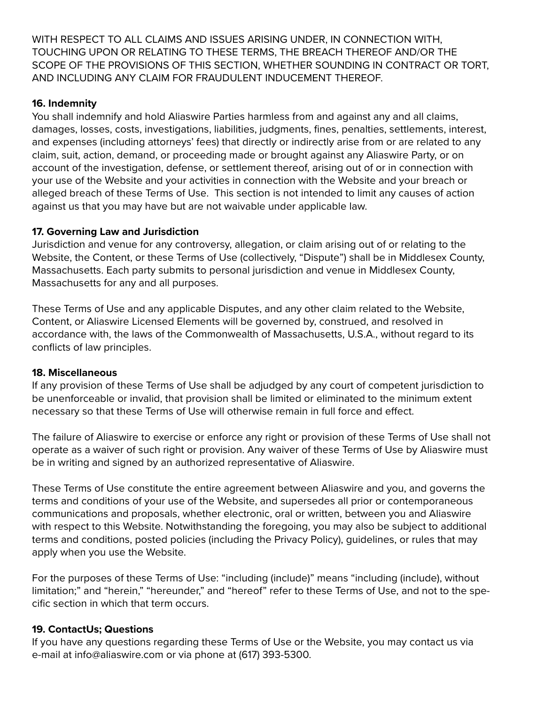WITH RESPECT TO ALL CLAIMS AND ISSUES ARISING UNDER, IN CONNECTION WITH, TOUCHING UPON OR RELATING TO THESE TERMS, THE BREACH THEREOF AND/OR THE SCOPE OF THE PROVISIONS OF THIS SECTION, WHETHER SOUNDING IN CONTRACT OR TORT, AND INCLUDING ANY CLAIM FOR FRAUDULENT INDUCEMENT THEREOF.

### **16. Indemnity**

You shall indemnify and hold Aliaswire Parties harmless from and against any and all claims, damages, losses, costs, investigations, liabilities, judgments, fines, penalties, settlements, interest, and expenses (including attorneys' fees) that directly or indirectly arise from or are related to any claim, suit, action, demand, or proceeding made or brought against any Aliaswire Party, or on account of the investigation, defense, or settlement thereof, arising out of or in connection with your use of the Website and your activities in connection with the Website and your breach or alleged breach of these Terms of Use. This section is not intended to limit any causes of action against us that you may have but are not waivable under applicable law.

## **17. Governing Law and Jurisdiction**

Jurisdiction and venue for any controversy, allegation, or claim arising out of or relating to the Website, the Content, or these Terms of Use (collectively, "Dispute") shall be in Middlesex County, Massachusetts. Each party submits to personal jurisdiction and venue in Middlesex County, Massachusetts for any and all purposes.

These Terms of Use and any applicable Disputes, and any other claim related to the Website, Content, or Aliaswire Licensed Elements will be governed by, construed, and resolved in accordance with, the laws of the Commonwealth of Massachusetts, U.S.A., without regard to its conflicts of law principles.

### **18. Miscellaneous**

If any provision of these Terms of Use shall be adjudged by any court of competent jurisdiction to be unenforceable or invalid, that provision shall be limited or eliminated to the minimum extent necessary so that these Terms of Use will otherwise remain in full force and effect.

The failure of Aliaswire to exercise or enforce any right or provision of these Terms of Use shall not operate as a waiver of such right or provision. Any waiver of these Terms of Use by Aliaswire must be in writing and signed by an authorized representative of Aliaswire.

These Terms of Use constitute the entire agreement between Aliaswire and you, and governs the terms and conditions of your use of the Website, and supersedes all prior or contemporaneous communications and proposals, whether electronic, oral or written, between you and Aliaswire with respect to this Website. Notwithstanding the foregoing, you may also be subject to additional terms and conditions, posted policies (including the Privacy Policy), guidelines, or rules that may apply when you use the Website.

For the purposes of these Terms of Use: "including (include)" means "including (include), without limitation;" and "herein," "hereunder," and "hereof" refer to these Terms of Use, and not to the specific section in which that term occurs.

# **19. ContactUs; Questions**

If you have any questions regarding these Terms of Use or the Website, you may contact us via e-mail at info@aliaswire.com or via phone at (617) 393-5300.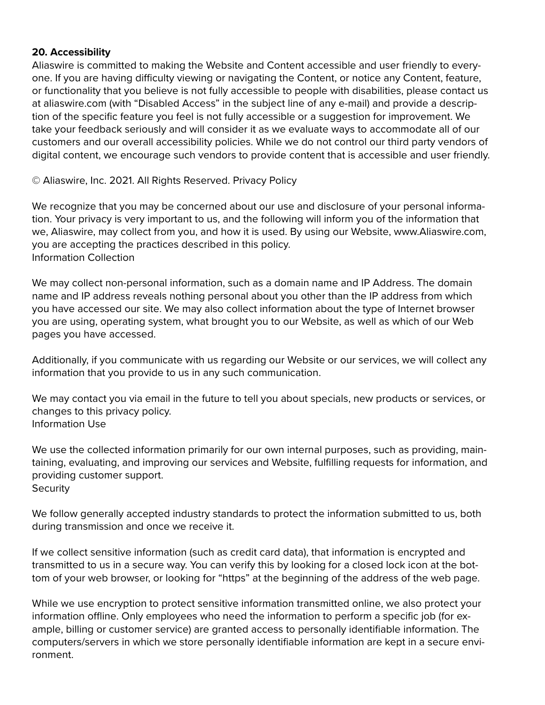#### **20. Accessibility**

Aliaswire is committed to making the Website and Content accessible and user friendly to everyone. If you are having difficulty viewing or navigating the Content, or notice any Content, feature, or functionality that you believe is not fully accessible to people with disabilities, please contact us at aliaswire.com (with "Disabled Access" in the subject line of any e-mail) and provide a description of the specific feature you feel is not fully accessible or a suggestion for improvement. We take your feedback seriously and will consider it as we evaluate ways to accommodate all of our customers and our overall accessibility policies. While we do not control our third party vendors of digital content, we encourage such vendors to provide content that is accessible and user friendly.

© Aliaswire, Inc. 2021. All Rights Reserved. Privacy Policy

We recognize that you may be concerned about our use and disclosure of your personal information. Your privacy is very important to us, and the following will inform you of the information that we, Aliaswire, may collect from you, and how it is used. By using our Website, www.Aliaswire.com, you are accepting the practices described in this policy. Information Collection

We may collect non-personal information, such as a domain name and IP Address. The domain name and IP address reveals nothing personal about you other than the IP address from which you have accessed our site. We may also collect information about the type of Internet browser you are using, operating system, what brought you to our Website, as well as which of our Web pages you have accessed.

Additionally, if you communicate with us regarding our Website or our services, we will collect any information that you provide to us in any such communication.

We may contact you via email in the future to tell you about specials, new products or services, or changes to this privacy policy. Information Use

We use the collected information primarily for our own internal purposes, such as providing, maintaining, evaluating, and improving our services and Website, fulfilling requests for information, and providing customer support. **Security** 

We follow generally accepted industry standards to protect the information submitted to us, both during transmission and once we receive it.

If we collect sensitive information (such as credit card data), that information is encrypted and transmitted to us in a secure way. You can verify this by looking for a closed lock icon at the bottom of your web browser, or looking for "https" at the beginning of the address of the web page.

While we use encryption to protect sensitive information transmitted online, we also protect your information offline. Only employees who need the information to perform a specific job (for example, billing or customer service) are granted access to personally identifiable information. The computers/servers in which we store personally identifiable information are kept in a secure environment.